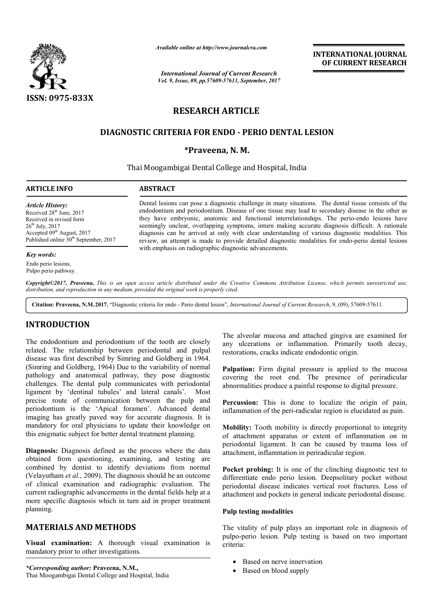

*Available online at http://www.journal http://www.journalcra.com*

*International Journal of Current Research Vol. 9, Issue, 09, pp.57609-57611, September, 2017* **INTERNATIONAL JOURNAL OF CURRENT RESEARCH** 

# **RESEARCH ARTICLE**

## **DIAGNOSTIC CRITERIA FOR ENDO - PERIO DENTAL LESION DENTAL**

## **\*Praveena, N. M.**

## Thai Moogambigai Dental College and Hospital, India

## **ARTICLE INFO ABSTRACT**

*Article History:* Received 28<sup>th</sup> June, 2017 Received in revised form 26th July, 2017 Accepted 09<sup>th</sup> August, 2017 Published online 30<sup>th</sup> September, 2017

### *Key words:*

Endo perio lesions, Pulpo perio pathway.

Dental lesions can pose a diagnostic challenge in many situations. The dental tissue consists of the endodontium and periodontium. Disease of one tissue may lead to secondary disease in the other as they have embryonic, anatomic and functional interrelationships. seemingly unclear, overlapping symptoms, inturn making accurate diagnosis difficult. A rationale diagnosis can be arrived at only with clear understanding of various diagnostic modalities. This review, an attempt is made to provide detailed diagnostic modalities for endo with emphasis on radiographic diagnostic advancements. Dental lesions can pose a diagnostic challenge in many situations. The dental tissue consists of the endodontium and periodontium. Disease of one tissue may lead to secondary disease in the other as they have embryonic, an seemingly unclear, overlapping symptoms, inturn making accurate diagnosis difficult. A rationale diagnosis can be arrived at only with clear understanding of various diagnostic modalities. This review, an attempt is made t **INTERNATIONAL JOURNAL**<br> **DIFERNATIONAL JOURNAL**<br> **DIFERNATIONAL JOURNAL**<br> **DIFERNATIONAL DESEARCH**<br> **DIFERNATION SERVE TRESSEARCH**<br> **ICLE**<br> **PERIO DENTAL LESION**<br> **M.**<br>
and Hospital, India<br>
and Hospital, India<br>
and Hospi

*Copyright©2017, Praveena, This is an open access article distributed under the Creative Commons Att Attribution License, which ribution permits unrestricted use, distribution, and reproduction in any medium, provided the original work is properly cited.*

Citation: Praveena, N.M.2017. "Diagnostic criteria for endo - Perio dental lesion", *International Journal of Current Research*, 9, (09), 57609-57611.

## **INTRODUCTION**

The endodontium and periodontium of the tooth are closely related. The relationship between periodontal and pulpal disease was first described by Simring and Goldberg in 1964. (Simring and Goldberg, 1964) Due to the variability of normal pathology and anatomical pathway, they pose diagnostic challenges. The dental pulp communicates with periodontal ligament by 'dentinal tubules' and lateral canals'. Most precise route of communication between the pulp and periodontium is the 'Apical foramen'. Advanced dental imaging has greatly paved way for accurate diagnosis. It is mandatory for oral physicians to update their knowledge on this enigmatic subject for better dental treatment planning.

**Diagnosis:** Diagnosis defined as the process where the data obtained from questioning, examining, combined by dentist to identify deviations from normal (Velayutham *et al.*, 2009). The diagnosis should be an outcome of clinical examination and radiographic evaluation. The current radiographic advancements in the dental fields help at a more specific diagnosis which in turn aid in proper treatment planning. er dental treatment planning.<br>d as the process where the data<br>, examining, and testing are

## **MATERIALS AND METHODS**

**Visual examination:** A thorough visual examination is mandatory prior to other investigations.

*\*Corresponding author:* **Praveena, N.M.,** Thai Moogambigai Dental College and Hospital, India

The alveolar mucosa and attached gingiva are examined for any ulcerations or inflammation. Primarily tooth decay, restorations, cracks indicate endodontic origin.

Palpation: Firm digital pressure is applied to the mucosa covering the root end. The presence of periradicular abnormalities produce a painful response to digital pressure.

**Percussion:** This is done to localize the origin of pain, inflammation of the peri-radicular region is elucidated as pain.

**Mobility:** Tooth mobility is directly proportional to integrity of attachment apparatus or extent of inflammation on in periodontal ligament. It can be caused by trauma loss of attachment, inflammation in periradicular region. **Palpation:** Firm digital pressure is applied to the mucosa covering the root end. The presence of periradicular abnormalities produce a painful response to digital pressure.<br>**Percussion:** This is done to localize the orig

**Pocket probing:** It is one of the clinching diagnostic test to differentiate endo perio lesion. Deepsolitary pocket without periodontal disease indicates vertical root frac attachment and pockets in general indicate periodontal disease.

## **Pulp testing modalities**

The vitality of pulp plays an important role in diagnosis of pulpo-perio lesion. Pulp testing is based on two important criteria:

- Based on nerve innervation
- Based on blood supply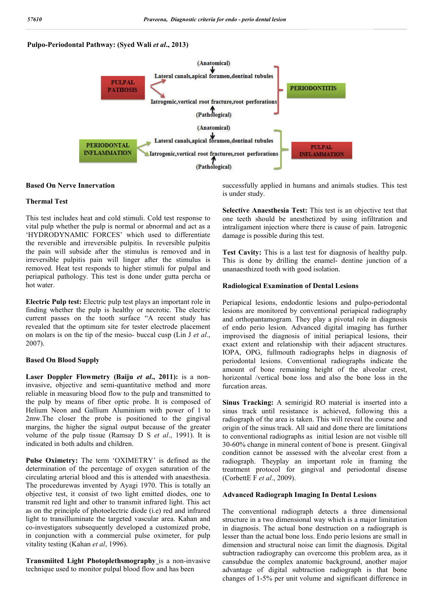## **Pulpo-Periodontal Pathway: (Syed Wali** *et al***., 2013)**



### **Based On Nerve Innervation**

### **Thermal Test**

This test includes heat and cold stimuli. Cold test response to vital pulp whether the pulp is normal or abnormal and act as a 'HYDRODYNAMIC FORCES' which used to differentiate the reversible and irreversible pulpitis. In reversible pulpitis the pain will subside after the stimulus is removed and in irreversible pulpitis pain will linger after the stimulus is removed. Heat test responds to higher stimuli for pulpal and periapical pathology. This test is done under gutta percha or hot water.

**Electric Pulp test:** Electric pulp test plays an important role in finding whether the pulp is healthy or necrotic. The electric current passes on the tooth surface "A recent study has revealed that the optimum site for tester electrode placement on molars is on the tip of the mesio- buccal cusp (Lin J *et al*., 2007).

### **Based On Blood Supply**

**Laser Doppler Flowmetry (Baiju** *et al***., 2011):** is a noninvasive, objective and semi-quantitative method and more reliable in measuring blood flow to the pulp and transmitted to the pulp by means of fiber optic probe. It is composed of Helium Neon and Gallium Aluminium with power of 1 to 2mw.The closer the probe is positioned to the gingival margins, the higher the signal output because of the greater volume of the pulp tissue (Ramsay D S *et al*., 1991). It is indicated in both adults and children.

**Pulse Oximetry:** The term 'OXIMETRY' is defined as the determination of the percentage of oxygen saturation of the circulating arterial blood and this is attended with anaesthesia. The procedurewas invented by Ayagi 1970. This is totally an objective test, it consist of two light emitted diodes, one to transmit red light and other to transmit infrared light. This act as on the principle of photoelectric diode (i.e) red and infrared light to transilluminate the targeted vascular area. Kahan and co-investigators subsequently developed a customized probe, in conjunction with a commercial pulse oximeter, for pulp vitality testing (Kahan *et al*, 1996).

**Transmiited Light Photoplethsmography** is a non-invasive technique used to monitor pulpal blood flow and has been

successfully applied in humans and animals studies. This test is under study.

**Selective Anaesthesia Test:** This test is an objective test that one teeth should be anesthetized by using infiltration and intraligament injection where there is cause of pain. Iatrogenic damage is possible during this test.

**Test Cavity:** This is a last test for diagnosis of healthy pulp. This is done by drilling the enamel- dentine junction of a unanaesthized tooth with good isolation.

### **Radiological Examination of Dental Lesions**

Periapical lesions, endodontic lesions and pulpo-periodontal lesions are monitored by conventional periapical radiography and orthopantamogram. They play a pivotal role in diagnosis of endo perio lesion. Advanced digital imaging has further improvised the diagnosis of initial periapical lesions, their exact extent and relationship with their adjacent structures. IOPA, OPG, fullmouth radiographs helps in diagnosis of periodontal lesions. Conventional radiographs indicate the amount of bone remaining height of the alveolar crest, horizontal /vertical bone loss and also the bone loss in the furcation areas.

**Sinus Tracking:** A semirigid RO material is inserted into a sinus track until resistance is achieved, following this a radiograph of the area is taken. This will reveal the course and origin of the sinus track. All said and done there are limitations to conventional radiographs as initial lesion are not visible till 30-60% change in mineral content of bone is present. Gingival condition cannot be assessed with the alveolar crest from a radiograph. Theyplay an important role in framing the treatment protocol for gingival and periodontal disease (CorbettE F *et al*., 2009).

#### **Advanced Radiograph Imaging In Dental Lesions**

The conventional radiograph detects a three dimensional structure in a two dimensional way which is a major limitation in diagnosis. The actual bone destruction on a radiograph is lesser than the actual bone loss. Endo perio lesions are small in dimension and structural noise can limit the diagnosis. Digital subtraction radiography can overcome this problem area, as it cansubdue the complex anatomic background, another major advantage of digital subtraction radiograph is that bone changes of 1-5% per unit volume and significant difference in